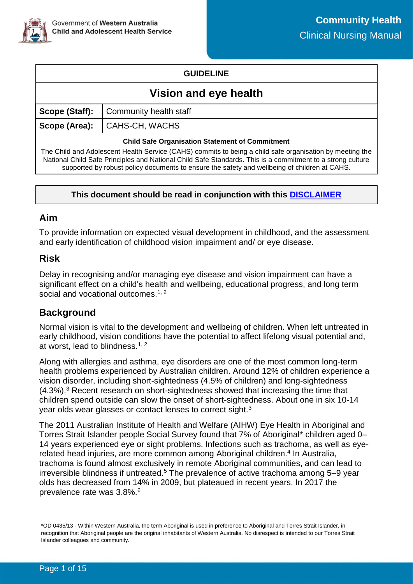

### **GUIDELINE**

# **Vision and eye health**

|                                                                                                          | <b>Scope (Staff):</b>   Community health staff |  |
|----------------------------------------------------------------------------------------------------------|------------------------------------------------|--|
|                                                                                                          | Scope (Area): CAHS-CH, WACHS                   |  |
| <b>Child Safe Organisation Statement of Commitment</b>                                                   |                                                |  |
| The Child and Adolescent Health Service (CAHS) commits to being a child safe organisation by meeting the |                                                |  |

cent Health Service (CAHS) commits to being a child safe organisation by meeting the National Child Safe Principles and National Child Safe Standards. This is a commitment to a strong culture supported by robust policy documents to ensure the safety and wellbeing of children at CAHS.

### **This document should be read in conjunction with this [DISCLAIMER](https://cahs.health.wa.gov.au/For-health-professionals/Resources/CAHS-Clinical-Disclaimer)**

### **Aim**

To provide information on expected visual development in childhood, and the assessment and early identification of childhood vision impairment and/ or eye disease.

### **Risk**

Delay in recognising and/or managing eye disease and vision impairment can have a significant effect on a child's health and wellbeing, educational progress, and long term social and vocational outcomes.<sup>1, 2</sup>

### **Background**

Normal vision is vital to the development and wellbeing of children. When left untreated in early childhood, vision conditions have the potential to affect lifelong visual potential and, at worst, lead to blindness.<sup>1, 2</sup>

Along with allergies and asthma, eye disorders are one of the most common long-term health problems experienced by Australian children. Around 12% of children experience a vision disorder, including short-sightedness (4.5% of children) and long-sightedness (4.3%).<sup>3</sup> Recent research on short-sightedness showed that increasing the time that children spend outside can slow the onset of short-sightedness. About one in six 10-14 year olds wear glasses or contact lenses to correct sight.<sup>3</sup>

The 2011 Australian Institute of Health and Welfare (AIHW) Eye Health in Aboriginal and Torres Strait Islander people Social Survey found that 7% of Aboriginal\* children aged 0– 14 years experienced eye or sight problems. Infections such as trachoma, as well as eyerelated head injuries, are more common among Aboriginal children.<sup>4</sup> In Australia, trachoma is found almost exclusively in remote Aboriginal communities, and can lead to  $i$ rreversible blindness if untreated.<sup>5</sup> The prevalence of active trachoma among 5–9 year olds has decreased from 14% in 2009, but plateaued in recent years. In 2017 the prevalence rate was 3.8%.<sup>6</sup>

<sup>\*</sup>OD 0435/13 - Within Western Australia, the term Aboriginal is used in preference to Aboriginal and Torres Strait Islander, in recognition that Aboriginal people are the original inhabitants of Western Australia. No disrespect is intended to our Torres Strait Islander colleagues and community.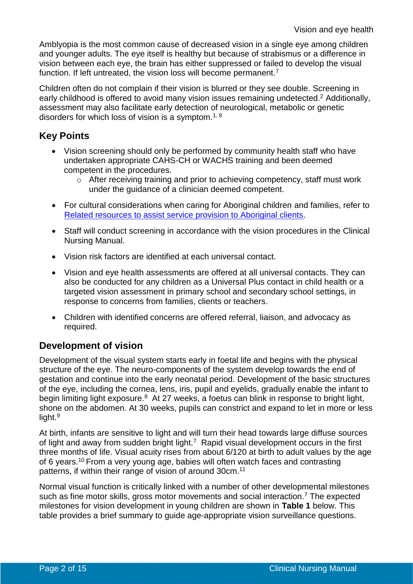Amblyopia is the most common cause of decreased vision in a single eye among children and younger adults. The eye itself is healthy but because of strabismus or a difference in vision between each eye, the brain has either suppressed or failed to develop the visual function. If left untreated, the vision loss will become permanent.<sup>7</sup>

Children often do not complain if their vision is blurred or they see double. Screening in early childhood is offered to avoid many vision issues remaining undetected.<sup>2</sup> Additionally, assessment may also facilitate early detection of neurological, metabolic or genetic disorders for which loss of vision is a symptom.<sup>1, 8</sup>

## **Key Points**

- Vision screening should only be performed by community health staff who have undertaken appropriate CAHS-CH or WACHS training and been deemed competent in the procedures.
	- o After receiving training and prior to achieving competency, staff must work under the guidance of a clinician deemed competent.
- For cultural considerations when caring for Aboriginal children and families, refer to [Related resources to assist service provision to Aboriginal clients.](#page-8-0)
- Staff will conduct screening in accordance with the vision procedures in the Clinical Nursing Manual.
- Vision risk factors are identified at each universal contact.
- Vision and eye health assessments are offered at all universal contacts. They can also be conducted for any children as a Universal Plus contact in child health or a targeted vision assessment in primary school and secondary school settings, in response to concerns from families, clients or teachers.
- Children with identified concerns are offered referral, liaison, and advocacy as required.

# **Development of vision**

Development of the visual system starts early in foetal life and begins with the physical structure of the eye. The neuro-components of the system develop towards the end of gestation and continue into the early neonatal period. Development of the basic structures of the eye, including the cornea, lens, iris, pupil and eyelids, gradually enable the infant to begin limiting light exposure.<sup>8</sup> At 27 weeks, a foetus can blink in response to bright light, shone on the abdomen. At 30 weeks, pupils can constrict and expand to let in more or less light.<sup>9</sup>

At birth, infants are sensitive to light and will turn their head towards large diffuse sources of light and away from sudden bright light.<sup>7</sup> Rapid visual development occurs in the first three months of life. Visual acuity rises from about 6/120 at birth to adult values by the age of 6 years.<sup>10</sup> From a very young age, babies will often watch faces and contrasting patterns, if within their range of vision of around 30cm.<sup>11</sup>

Normal visual function is critically linked with a number of other developmental milestones such as fine motor skills, gross motor movements and social interaction.<sup>7</sup> The expected milestones for vision development in young children are shown in **Table 1** below. This table provides a brief summary to guide age-appropriate vision surveillance questions.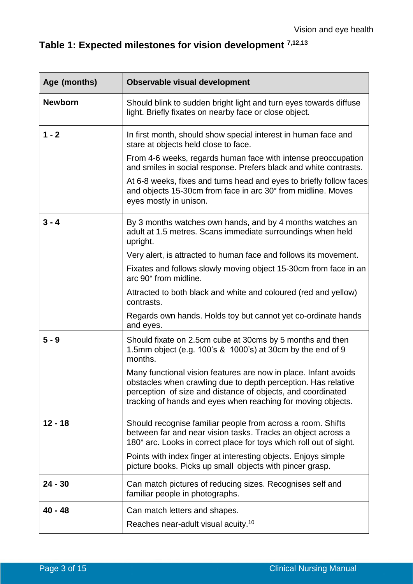# **Table 1: Expected milestones for vision development 7,12,13**

| Age (months)   | <b>Observable visual development</b>                                                                                                                                                                                                                            |
|----------------|-----------------------------------------------------------------------------------------------------------------------------------------------------------------------------------------------------------------------------------------------------------------|
| <b>Newborn</b> | Should blink to sudden bright light and turn eyes towards diffuse<br>light. Briefly fixates on nearby face or close object.                                                                                                                                     |
| $1 - 2$        | In first month, should show special interest in human face and<br>stare at objects held close to face.                                                                                                                                                          |
|                | From 4-6 weeks, regards human face with intense preoccupation<br>and smiles in social response. Prefers black and white contrasts.                                                                                                                              |
|                | At 6-8 weeks, fixes and turns head and eyes to briefly follow faces<br>and objects 15-30cm from face in arc 30° from midline. Moves<br>eyes mostly in unison.                                                                                                   |
| $3 - 4$        | By 3 months watches own hands, and by 4 months watches an<br>adult at 1.5 metres. Scans immediate surroundings when held<br>upright.                                                                                                                            |
|                | Very alert, is attracted to human face and follows its movement.                                                                                                                                                                                                |
|                | Fixates and follows slowly moving object 15-30cm from face in an<br>arc 90° from midline.                                                                                                                                                                       |
|                | Attracted to both black and white and coloured (red and yellow)<br>contrasts.                                                                                                                                                                                   |
|                | Regards own hands. Holds toy but cannot yet co-ordinate hands<br>and eyes.                                                                                                                                                                                      |
| $5 - 9$        | Should fixate on 2.5cm cube at 30cms by 5 months and then<br>1.5mm object (e.g. 100's & 1000's) at 30cm by the end of 9<br>months.                                                                                                                              |
|                | Many functional vision features are now in place. Infant avoids<br>obstacles when crawling due to depth perception. Has relative<br>perception of size and distance of objects, and coordinated<br>tracking of hands and eyes when reaching for moving objects. |
| $12 - 18$      | Should recognise familiar people from across a room. Shifts<br>between far and near vision tasks. Tracks an object across a<br>180° arc. Looks in correct place for toys which roll out of sight.                                                               |
|                | Points with index finger at interesting objects. Enjoys simple<br>picture books. Picks up small objects with pincer grasp.                                                                                                                                      |
| $24 - 30$      | Can match pictures of reducing sizes. Recognises self and<br>familiar people in photographs.                                                                                                                                                                    |
| $40 - 48$      | Can match letters and shapes.                                                                                                                                                                                                                                   |
|                | Reaches near-adult visual acuity. <sup>10</sup>                                                                                                                                                                                                                 |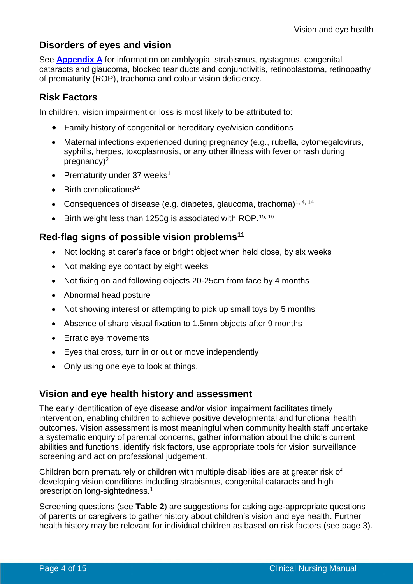## **Disorders of eyes and vision**

See **[Appendix A](#page-9-0)** for information on amblyopia, strabismus, nystagmus, congenital cataracts and glaucoma, blocked tear ducts and conjunctivitis, retinoblastoma, retinopathy of prematurity (ROP), trachoma and colour vision deficiency.

# **Risk Factors**

In children, vision impairment or loss is most likely to be attributed to:

- Family history of congenital or hereditary eye/vision conditions
- Maternal infections experienced during pregnancy (e.g., rubella, cytomegalovirus, syphilis, herpes, toxoplasmosis, or any other illness with fever or rash during pregnancy) 2
- Prematurity under 37 weeks<sup>1</sup>
- $\bullet$  Birth complications<sup>14</sup>
- Consequences of disease (e.g. diabetes, glaucoma, trachoma)<sup>1, 4, 14</sup>
- Birth weight less than 1250g is associated with ROP.<sup>15, 16</sup>

### **Red-flag signs of possible vision problems<sup>11</sup>**

- Not looking at carer's face or bright object when held close, by six weeks
- Not making eye contact by eight weeks
- Not fixing on and following objects 20-25cm from face by 4 months
- Abnormal head posture
- Not showing interest or attempting to pick up small toys by 5 months
- Absence of sharp visual fixation to 1.5mm objects after 9 months
- Erratic eye movements
- Eyes that cross, turn in or out or move independently
- Only using one eye to look at things.

### **Vision and eye health history and** a**ssessment**

The early identification of eye disease and/or vision impairment facilitates timely intervention, enabling children to achieve positive developmental and functional health outcomes. Vision assessment is most meaningful when community health staff undertake a systematic enquiry of parental concerns, gather information about the child's current abilities and functions, identify risk factors, use appropriate tools for vision surveillance screening and act on professional judgement.

Children born prematurely or children with multiple disabilities are at greater risk of developing vision conditions including strabismus, congenital cataracts and high prescription long-sightedness.<sup>1</sup>

Screening questions (see **Table 2**) are suggestions for asking age-appropriate questions of parents or caregivers to gather history about children's vision and eye health. Further health history may be relevant for individual children as based on risk factors (see page 3).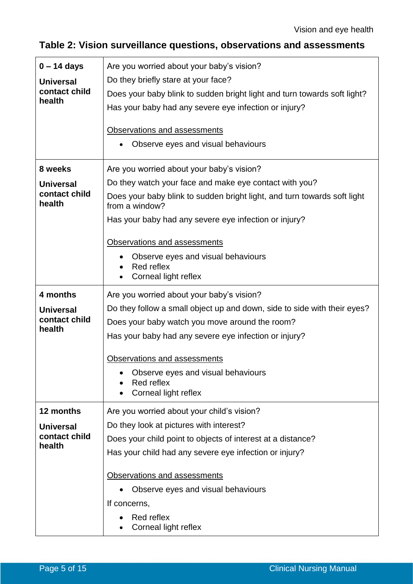# **Table 2: Vision surveillance questions, observations and assessments**

| $0 - 14$ days                     | Are you worried about your baby's vision?                                                  |  |  |
|-----------------------------------|--------------------------------------------------------------------------------------------|--|--|
| <b>Universal</b>                  | Do they briefly stare at your face?                                                        |  |  |
| contact child<br>health           | Does your baby blink to sudden bright light and turn towards soft light?                   |  |  |
|                                   | Has your baby had any severe eye infection or injury?                                      |  |  |
|                                   | Observations and assessments                                                               |  |  |
|                                   | Observe eyes and visual behaviours                                                         |  |  |
|                                   |                                                                                            |  |  |
| 8 weeks                           | Are you worried about your baby's vision?                                                  |  |  |
| <b>Universal</b>                  | Do they watch your face and make eye contact with you?                                     |  |  |
| contact child<br>health           | Does your baby blink to sudden bright light, and turn towards soft light<br>from a window? |  |  |
|                                   | Has your baby had any severe eye infection or injury?                                      |  |  |
|                                   | Observations and assessments                                                               |  |  |
|                                   | Observe eyes and visual behaviours                                                         |  |  |
|                                   | Red reflex<br>Corneal light reflex                                                         |  |  |
| 4 months                          |                                                                                            |  |  |
|                                   | Are you worried about your baby's vision?                                                  |  |  |
| <b>Universal</b><br>contact child | Do they follow a small object up and down, side to side with their eyes?                   |  |  |
| health                            | Does your baby watch you move around the room?                                             |  |  |
|                                   | Has your baby had any severe eye infection or injury?                                      |  |  |
|                                   | Observations and assessments                                                               |  |  |
|                                   | Observe eyes and visual behaviours                                                         |  |  |
|                                   | Red reflex<br>Corneal light reflex                                                         |  |  |
| 12 months                         | Are you worried about your child's vision?                                                 |  |  |
| <b>Universal</b>                  | Do they look at pictures with interest?                                                    |  |  |
| contact child                     | Does your child point to objects of interest at a distance?                                |  |  |
| health                            | Has your child had any severe eye infection or injury?                                     |  |  |
|                                   | Observations and assessments                                                               |  |  |
|                                   | Observe eyes and visual behaviours                                                         |  |  |
|                                   | If concerns,                                                                               |  |  |
|                                   | Red reflex                                                                                 |  |  |
|                                   | Corneal light reflex                                                                       |  |  |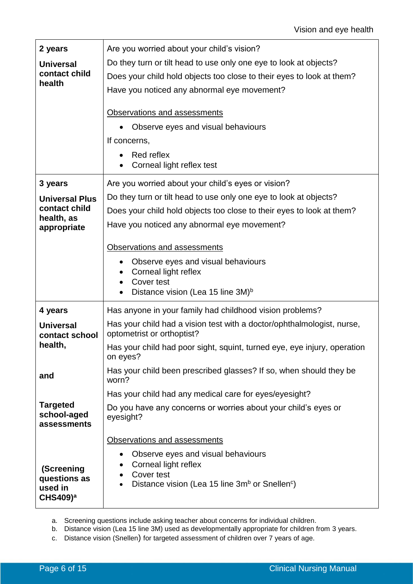| 2 years                                           | Are you worried about your child's vision?                                                           |  |  |
|---------------------------------------------------|------------------------------------------------------------------------------------------------------|--|--|
| <b>Universal</b><br>contact child                 | Do they turn or tilt head to use only one eye to look at objects?                                    |  |  |
| health                                            | Does your child hold objects too close to their eyes to look at them?                                |  |  |
|                                                   | Have you noticed any abnormal eye movement?                                                          |  |  |
|                                                   | Observations and assessments                                                                         |  |  |
|                                                   | Observe eyes and visual behaviours                                                                   |  |  |
|                                                   | If concerns,                                                                                         |  |  |
|                                                   | Red reflex<br>Corneal light reflex test                                                              |  |  |
| 3 years                                           | Are you worried about your child's eyes or vision?                                                   |  |  |
| <b>Universal Plus</b>                             | Do they turn or tilt head to use only one eye to look at objects?                                    |  |  |
| contact child<br>health, as                       | Does your child hold objects too close to their eyes to look at them?                                |  |  |
| appropriate                                       | Have you noticed any abnormal eye movement?                                                          |  |  |
|                                                   | Observations and assessments                                                                         |  |  |
|                                                   | Observe eyes and visual behaviours                                                                   |  |  |
|                                                   | Corneal light reflex<br>Cover test                                                                   |  |  |
|                                                   | Distance vision (Lea 15 line 3M) <sup>b</sup>                                                        |  |  |
| 4 years                                           | Has anyone in your family had childhood vision problems?                                             |  |  |
| <b>Universal</b><br>contact school                | Has your child had a vision test with a doctor/ophthalmologist, nurse,<br>optometrist or orthoptist? |  |  |
| health,                                           | Has your child had poor sight, squint, turned eye, eye injury, operation<br>on eyes?                 |  |  |
| and                                               | Has your child been prescribed glasses? If so, when should they be<br>worn?                          |  |  |
|                                                   | Has your child had any medical care for eyes/eyesight?                                               |  |  |
| <b>Targeted</b><br>school-aged<br>assessments     | Do you have any concerns or worries about your child's eyes or<br>eyesight?                          |  |  |
|                                                   | Observations and assessments                                                                         |  |  |
|                                                   | Observe eyes and visual behaviours                                                                   |  |  |
| (Screening                                        | Corneal light reflex<br>Cover test                                                                   |  |  |
| questions as<br>used in<br>$CHS409)$ <sup>a</sup> | Distance vision (Lea 15 line 3m <sup>b</sup> or Snellen <sup>c</sup> )                               |  |  |
|                                                   |                                                                                                      |  |  |

a. Screening questions include asking teacher about concerns for individual children.

- b. Distance vision (Lea 15 line 3M) used as developmentally appropriate for children from 3 years.
- c. Distance vision (Snellen) for targeted assessment of children over 7 years of age.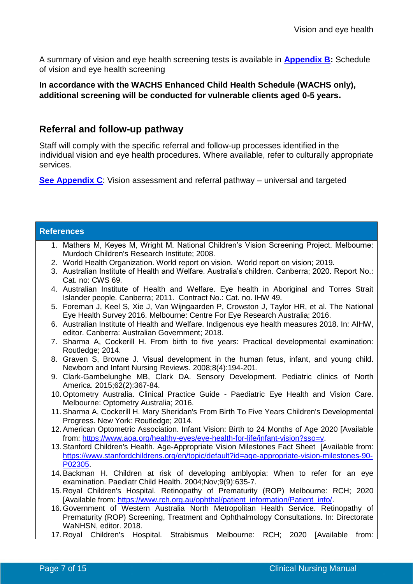A summary of vision and eye health screening tests is available in **[Appendix B:](#page-12-0)** Schedule of vision and eye health screening

**In accordance with the WACHS Enhanced Child Health Schedule (WACHS only), additional screening will be conducted for vulnerable clients aged 0-5 years.**

### **Referral and follow-up pathway**

Staff will comply with the specific referral and follow-up processes identified in the individual vision and eye health procedures. Where available, refer to culturally appropriate services.

**[See Appendix C](#page-13-0)**: Vision assessment and referral pathway – universal and targeted

| <b>References</b>                                                                                                                                                                                         |
|-----------------------------------------------------------------------------------------------------------------------------------------------------------------------------------------------------------|
| 1. Mathers M, Keyes M, Wright M. National Children's Vision Screening Project. Melbourne:                                                                                                                 |
| Murdoch Children's Research Institute; 2008.<br>2. World Health Organization. World report on vision. World report on vision; 2019.                                                                       |
| 3. Australian Institute of Health and Welfare. Australia's children. Canberra; 2020. Report No.:                                                                                                          |
| Cat. no: CWS 69.                                                                                                                                                                                          |
| 4. Australian Institute of Health and Welfare. Eye health in Aboriginal and Torres Strait<br>Islander people. Canberra; 2011. Contract No.: Cat. no. IHW 49.                                              |
| 5. Foreman J, Keel S, Xie J, Van Wijngaarden P, Crowston J, Taylor HR, et al. The National<br>Eye Health Survey 2016. Melbourne: Centre For Eye Research Australia; 2016.                                 |
| 6. Australian Institute of Health and Welfare. Indigenous eye health measures 2018. In: AIHW,<br>editor. Canberra: Australian Government; 2018.                                                           |
| 7. Sharma A, Cockerill H. From birth to five years: Practical developmental examination:<br>Routledge; 2014.                                                                                              |
| 8. Graven S, Browne J. Visual development in the human fetus, infant, and young child.<br>Newborn and Infant Nursing Reviews. 2008;8(4):194-201.                                                          |
| 9. Clark-Gambelunghe MB, Clark DA. Sensory Development. Pediatric clinics of North<br>America. 2015;62(2):367-84.                                                                                         |
| 10. Optometry Australia. Clinical Practice Guide - Paediatric Eye Health and Vision Care.<br>Melbourne: Optometry Australia; 2016.                                                                        |
| 11. Sharma A, Cockerill H. Mary Sheridan's From Birth To Five Years Children's Developmental<br>Progress. New York: Routledge; 2014.                                                                      |
| 12. American Optometric Association. Infant Vision: Birth to 24 Months of Age 2020 [Available<br>from: https://www.aoa.org/healthy-eyes/eye-health-for-life/infant-vision?sso=y.                          |
| 13. Stanford Children's Health. Age-Appropriate Vision Milestones Fact Sheet [Available from:<br>https://www.stanfordchildrens.org/en/topic/default?id=age-appropriate-vision-milestones-90-<br>P02305.   |
| 14. Backman H. Children at risk of developing amblyopia: When to refer for an eye                                                                                                                         |
| examination. Paediatr Child Health. 2004; Nov; 9(9): 635-7.                                                                                                                                               |
| 15. Royal Children's Hospital. Retinopathy of Prematurity (ROP) Melbourne: RCH; 2020<br>[Available from: https://www.rch.org.au/ophthal/patient_information/Patient_info/                                 |
| 16. Government of Western Australia North Metropolitan Health Service. Retinopathy of<br>Prematurity (ROP) Screening, Treatment and Ophthalmology Consultations. In: Directorate<br>WaNHSN, editor. 2018. |
| 17. Royal Children's Hospital.<br><b>Strabismus</b><br>Melbourne:<br>RCH:<br>2020<br><b>[Available</b><br>from:                                                                                           |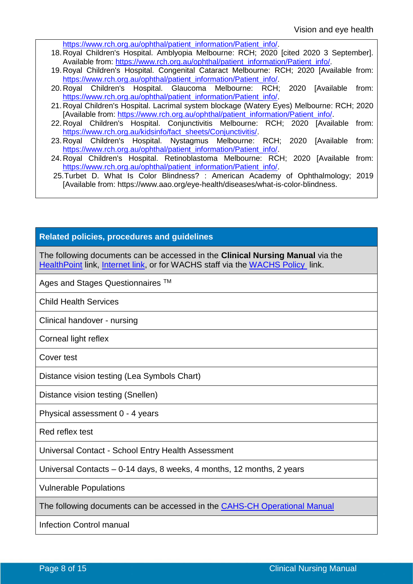[https://www.rch.org.au/ophthal/patient\\_information/Patient\\_info/.](https://www.rch.org.au/ophthal/patient_information/Patient_info/)

- 18. Royal Children's Hospital. Amblyopia Melbourne: RCH; 2020 [cited 2020 3 September]. Available from: [https://www.rch.org.au/ophthal/patient\\_information/Patient\\_info/.](https://www.rch.org.au/ophthal/patient_information/Patient_info/)
- 19. Royal Children's Hospital. Congenital Cataract Melbourne: RCH; 2020 [Available from: [https://www.rch.org.au/ophthal/patient\\_information/Patient\\_info/.](https://www.rch.org.au/ophthal/patient_information/Patient_info/)
- 20. Royal Children's Hospital. Glaucoma Melbourne: RCH; 2020 [Available from: [https://www.rch.org.au/ophthal/patient\\_information/Patient\\_info/.](https://www.rch.org.au/ophthal/patient_information/Patient_info/)
- 21. Royal Children's Hospital. Lacrimal system blockage (Watery Eyes) Melbourne: RCH; 2020 [Available from: [https://www.rch.org.au/ophthal/patient\\_information/Patient\\_info/.](https://www.rch.org.au/ophthal/patient_information/Patient_info/)
- 22. Royal Children's Hospital. Conjunctivitis Melbourne: RCH; 2020 [Available from: [https://www.rch.org.au/kidsinfo/fact\\_sheets/Conjunctivitis/.](https://www.rch.org.au/kidsinfo/fact_sheets/Conjunctivitis/)
- 23. Royal Children's Hospital. Nystagmus Melbourne: RCH; 2020 [Available from: [https://www.rch.org.au/ophthal/patient\\_information/Patient\\_info/.](https://www.rch.org.au/ophthal/patient_information/Patient_info/)
- 24. Royal Children's Hospital. Retinoblastoma Melbourne: RCH; 2020 [Available from: [https://www.rch.org.au/ophthal/patient\\_information/Patient\\_info/.](https://www.rch.org.au/ophthal/patient_information/Patient_info/)
- 25.Turbet D. What Is Color Blindness? : American Academy of Ophthalmology; 2019 [Available from: [https://www.aao.org/eye-health/diseases/what-is-color-blindness.](https://www.aao.org/eye-health/diseases/what-is-color-blindness)

#### **Related policies, procedures and guidelines**

The following documents can be accessed in the **Clinical Nursing Manual** via the [HealthPoint](https://healthpoint.hdwa.health.wa.gov.au/policies/Pages/CACH-Community-Health.aspx) link, [Internet link,](https://www.cahs.health.wa.gov.au/For-health-professionals/Resources/Community-Health-Clinical-Nursing-Manual) or for WACHS staff via the [WACHS Policy](https://healthpoint.hdwa.health.wa.gov.au/policies/Pages/WACHS%20Policy%20Pages/WACHS-Policies.aspx) link.

Ages and Stages Questionnaires ™

Child Health Services

Clinical handover - nursing

Corneal light reflex

Cover test

Distance vision testing (Lea Symbols Chart)

Distance vision testing (Snellen)

Physical assessment 0 - 4 years

Red reflex test

Universal Contact - School Entry Health Assessment

Universal Contacts – 0-14 days, 8 weeks, 4 months, 12 months, 2 years

Vulnerable Populations

The following documents can be accessed in the [CAHS-CH Operational Manual](https://healthpoint.hdwa.health.wa.gov.au/policies/Pages/CACH-Operational-Policies.aspx)

Infection Control manual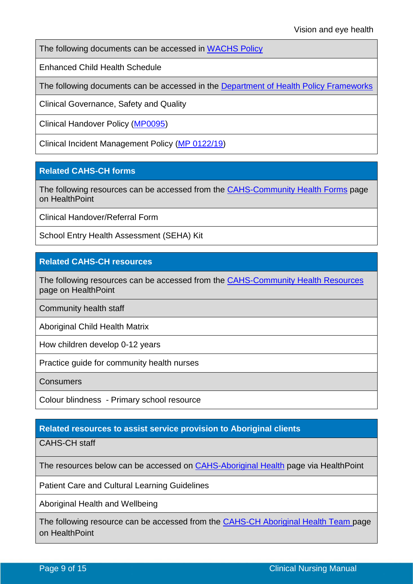The following documents can be accessed in [WACHS Policy](https://healthpoint.hdwa.health.wa.gov.au/policies/Pages/WACHS%20Policy%20Pages/WACHS-Policies.aspx)

Enhanced Child Health Schedule

The following documents can be accessed in the [Department of Health Policy Frameworks](https://ww2.health.wa.gov.au/About-us/Policy-Frameworks)

Clinical Governance, Safety and Quality

Clinical Handover Policy [\(MP0095\)](https://ww2.health.wa.gov.au/About-us/Policy-frameworks/Clinical-Governance-Safety-and-Quality/Mandatory-requirements/Clinical-Handover-Policy)

Clinical Incident Management Policy [\(MP 0122/19\)](https://ww2.health.wa.gov.au/About-us/Policy-frameworks/Clinical-Governance-Safety-and-Quality/Mandatory-requirements/Clinical-Incident-Management-Policy)

### **Related CAHS-CH forms**

The following resources can be accessed from the [CAHS-Community Health Forms](https://cahs-healthpoint.hdwa.health.wa.gov.au/cach/forms/Pages/default.aspx) page on HealthPoint

Clinical Handover/Referral Form

School Entry Health Assessment (SEHA) Kit

### **Related CAHS-CH resources**

The following resources can be accessed from the [CAHS-Community Health Resources](https://cahs-healthpoint.hdwa.health.wa.gov.au/cach/resources/Pages/default.aspx) page on HealthPoint

Community health staff

Aboriginal Child Health Matrix

How children develop 0-12 years

Practice guide for community health nurses

**Consumers** 

Colour blindness - Primary school resource

### <span id="page-8-0"></span>**Related resources to assist service provision to Aboriginal clients**

CAHS-CH staff

The resources below can be accessed on **CAHS-Aboriginal Health** page via HealthPoint

Patient Care and Cultural Learning Guidelines

Aboriginal Health and Wellbeing

The following resource can be accessed from the [CAHS-CH Aboriginal Health Team](https://cahs-healthpoint.hdwa.health.wa.gov.au/cach/About-Us/Aboriginal-Health-Team/Pages/default.aspx) page on HealthPoint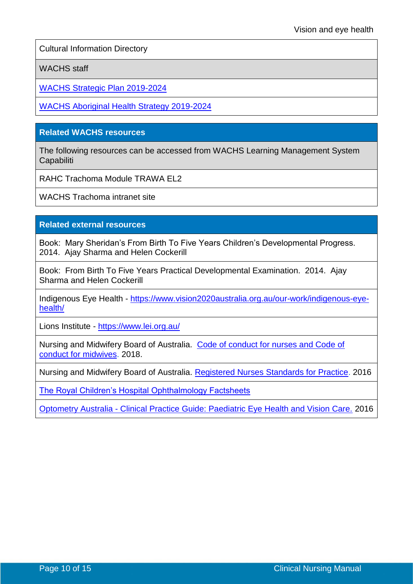Cultural Information Directory

WACHS staff

[WACHS Strategic Plan 2019-2024](http://www.wacountry.health.wa.gov.au/index.php?id=457)

[WACHS Aboriginal Health Strategy 2019-2024](http://wachs.hdwa.health.wa.gov.au/index.php?id=6215)

### **Related WACHS resources**

The following resources can be accessed from WACHS Learning Management System **Capabiliti** 

RAHC Trachoma Module TRAWA EL2

WACHS Trachoma intranet site

#### **Related external resources**

Book: Mary Sheridan's From Birth To Five Years Children's Developmental Progress. 2014. Ajay Sharma and Helen Cockerill

Book: From Birth To Five Years Practical Developmental Examination. 2014. Ajay Sharma and Helen Cockerill

Indigenous Eye Health - [https://www.vision2020australia.org.au/our-work/indigenous-eye](https://www.vision2020australia.org.au/our-work/indigenous-eye-health/)[health/](https://www.vision2020australia.org.au/our-work/indigenous-eye-health/)

Lions Institute - <https://www.lei.org.au/>

Nursing and Midwifery Board of Australia. [Code of conduct for nurses and Code of](https://www.nursingmidwiferyboard.gov.au/Codes-Guidelines-Statements/Professional-standards.aspx)  [conduct for midwives.](https://www.nursingmidwiferyboard.gov.au/Codes-Guidelines-Statements/Professional-standards.aspx) 2018.

Nursing and Midwifery Board of Australia. [Registered Nurses Standards for Practice.](https://www.nursingmidwiferyboard.gov.au/codes-guidelines-statements/professional-standards/registered-nurse-standards-for-practice.aspx) 2016

[The Royal Children's Hospital Ophthalmology Factsheets](https://www.rch.org.au/ophthal/patient_information/Patient_info/)

<span id="page-9-0"></span>Optometry Australia - [Clinical Practice Guide: Paediatric Eye Health and Vision Care.](https://www.optometry.org.au/wp-content/uploads/Professional_support/Guidelines/optometry_australia_paediatric_eye_health_and_vision_care_guidelines_-_august_2016.pdf) 2016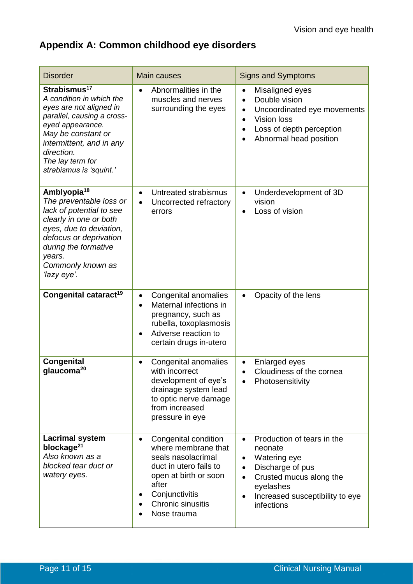# **Appendix A: Common childhood eye disorders**

| <b>Disorder</b>                                                                                                                                                                                                                                  | <b>Main causes</b>                                                                                                                                                                                            | <b>Signs and Symptoms</b>                                                                                                                                                                                                           |
|--------------------------------------------------------------------------------------------------------------------------------------------------------------------------------------------------------------------------------------------------|---------------------------------------------------------------------------------------------------------------------------------------------------------------------------------------------------------------|-------------------------------------------------------------------------------------------------------------------------------------------------------------------------------------------------------------------------------------|
| Strabismus <sup>17</sup><br>A condition in which the<br>eyes are not aligned in<br>parallel, causing a cross-<br>eyed appearance.<br>May be constant or<br>intermittent, and in any<br>direction.<br>The lay term for<br>strabismus is 'squint.' | Abnormalities in the<br>muscles and nerves<br>surrounding the eyes                                                                                                                                            | Misaligned eyes<br>$\bullet$<br>Double vision<br>$\bullet$<br>Uncoordinated eye movements<br>$\bullet$<br><b>Vision loss</b><br>Loss of depth perception<br>Abnormal head position                                                  |
| Amblyopia <sup>18</sup><br>The preventable loss or<br>lack of potential to see<br>clearly in one or both<br>eyes, due to deviation,<br>defocus or deprivation<br>during the formative<br>years.<br>Commonly known as<br>'lazy eye'.              | Untreated strabismus<br>$\bullet$<br>Uncorrected refractory<br>errors                                                                                                                                         | Underdevelopment of 3D<br>$\bullet$<br>vision<br>Loss of vision<br>$\bullet$                                                                                                                                                        |
| Congenital cataract <sup>19</sup>                                                                                                                                                                                                                | Congenital anomalies<br>$\bullet$<br>Maternal infections in<br>$\bullet$<br>pregnancy, such as<br>rubella, toxoplasmosis<br>Adverse reaction to<br>$\bullet$<br>certain drugs in-utero                        | Opacity of the lens<br>$\bullet$                                                                                                                                                                                                    |
| <b>Congenital</b><br>glaucoma <sup>20</sup>                                                                                                                                                                                                      | Congenital anomalies<br>$\bullet$<br>with incorrect<br>development of eye's<br>drainage system lead<br>to optic nerve damage<br>from increased<br>pressure in eye                                             | Enlarged eyes<br>Cloudiness of the cornea<br>Photosensitivity                                                                                                                                                                       |
| <b>Lacrimal system</b><br>blockage <sup>21</sup><br>Also known as a<br>blocked tear duct or<br>watery eyes.                                                                                                                                      | Congenital condition<br>$\bullet$<br>where membrane that<br>seals nasolacrimal<br>duct in utero fails to<br>open at birth or soon<br>after<br>Conjunctivitis<br>Chronic sinusitis<br>$\bullet$<br>Nose trauma | Production of tears in the<br>$\bullet$<br>neonate<br>Watering eye<br>$\bullet$<br>Discharge of pus<br>$\bullet$<br>Crusted mucus along the<br>$\bullet$<br>eyelashes<br>Increased susceptibility to eye<br>$\bullet$<br>infections |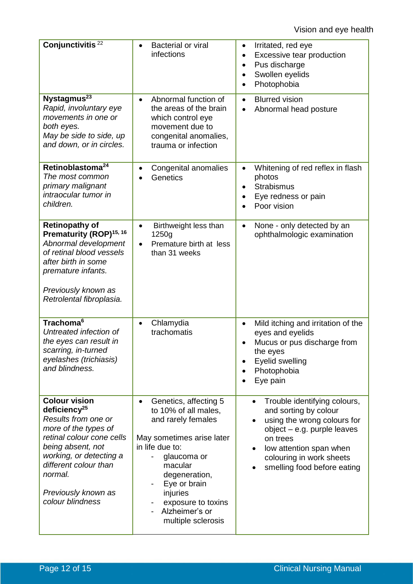| Conjunctivitis <sup>22</sup>                                                                                                                                                                                                                          | <b>Bacterial or viral</b><br>infections                                                                                                                                                                                                                               | Irritated, red eye<br>$\bullet$<br>Excessive tear production<br>$\bullet$<br>Pus discharge<br>$\bullet$<br>Swollen eyelids<br>$\bullet$<br>Photophobia<br>$\bullet$                                                                  |
|-------------------------------------------------------------------------------------------------------------------------------------------------------------------------------------------------------------------------------------------------------|-----------------------------------------------------------------------------------------------------------------------------------------------------------------------------------------------------------------------------------------------------------------------|--------------------------------------------------------------------------------------------------------------------------------------------------------------------------------------------------------------------------------------|
| Nystagmus <sup>23</sup><br>Rapid, involuntary eye<br>movements in one or<br>both eyes.<br>May be side to side, up<br>and down, or in circles.                                                                                                         | Abnormal function of<br>$\bullet$<br>the areas of the brain<br>which control eye<br>movement due to<br>congenital anomalies,<br>trauma or infection                                                                                                                   | <b>Blurred vision</b><br>$\bullet$<br>Abnormal head posture                                                                                                                                                                          |
| Retinoblastoma <sup>24</sup><br>The most common<br>primary malignant<br>intraocular tumor in<br>children.                                                                                                                                             | Congenital anomalies<br>$\bullet$<br>Genetics                                                                                                                                                                                                                         | Whitening of red reflex in flash<br>$\bullet$<br>photos<br><b>Strabismus</b><br>$\bullet$<br>Eye redness or pain<br>$\bullet$<br>Poor vision                                                                                         |
| <b>Retinopathy of</b><br>Prematurity (ROP) <sup>15, 16</sup><br>Abnormal development<br>of retinal blood vessels<br>after birth in some<br>premature infants.<br>Previously known as<br>Retrolental fibroplasia.                                      | Birthweight less than<br>$\bullet$<br>1250g<br>Premature birth at less<br>than 31 weeks                                                                                                                                                                               | None - only detected by an<br>$\bullet$<br>ophthalmologic examination                                                                                                                                                                |
| Trachoma <sup>6</sup><br>Untreated infection of<br>the eyes can result in<br>scarring, in-turned<br>eyelashes (trichiasis)<br>and blindness.                                                                                                          | Chlamydia<br>$\bullet$<br>trachomatis                                                                                                                                                                                                                                 | Mild itching and irritation of the<br>$\bullet$<br>eyes and eyelids<br>Mucus or pus discharge from<br>the eyes<br>Eyelid swelling<br>Photophobia<br>Eye pain                                                                         |
| <b>Colour vision</b><br>deficiency $^{25}$<br>Results from one or<br>more of the types of<br>retinal colour cone cells<br>being absent, not<br>working, or detecting a<br>different colour than<br>normal.<br>Previously known as<br>colour blindness | Genetics, affecting 5<br>$\bullet$<br>to 10% of all males,<br>and rarely females<br>May sometimes arise later<br>in life due to:<br>glaucoma or<br>macular<br>degeneration,<br>Eye or brain<br>injuries<br>exposure to toxins<br>Alzheimer's or<br>multiple sclerosis | Trouble identifying colours,<br>$\bullet$<br>and sorting by colour<br>using the wrong colours for<br>$object - e.g.$ purple leaves<br>on trees<br>low attention span when<br>colouring in work sheets<br>smelling food before eating |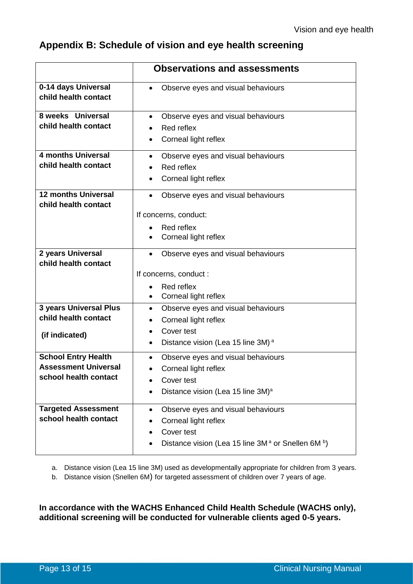# <span id="page-12-0"></span>**Appendix B: Schedule of vision and eye health screening**

|                                                                                    | <b>Observations and assessments</b>                                                                                                                 |
|------------------------------------------------------------------------------------|-----------------------------------------------------------------------------------------------------------------------------------------------------|
| 0-14 days Universal<br>child health contact                                        | Observe eyes and visual behaviours                                                                                                                  |
| 8 weeks Universal<br>child health contact                                          | Observe eyes and visual behaviours<br>Red reflex<br>Corneal light reflex<br>$\bullet$                                                               |
| <b>4 months Universal</b><br>child health contact                                  | Observe eyes and visual behaviours<br>Red reflex<br>Corneal light reflex                                                                            |
| <b>12 months Universal</b><br>child health contact                                 | Observe eyes and visual behaviours<br>If concerns, conduct:<br>Red reflex<br>Corneal light reflex                                                   |
| 2 years Universal<br>child health contact                                          | Observe eyes and visual behaviours<br>If concerns, conduct :<br>Red reflex<br>Corneal light reflex<br>$\bullet$                                     |
| <b>3 years Universal Plus</b><br>child health contact<br>(if indicated)            | Observe eyes and visual behaviours<br>$\bullet$<br>Corneal light reflex<br>Cover test<br>Distance vision (Lea 15 line 3M) <sup>a</sup><br>$\bullet$ |
| <b>School Entry Health</b><br><b>Assessment Universal</b><br>school health contact | Observe eyes and visual behaviours<br>Corneal light reflex<br>Cover test<br>Distance vision (Lea 15 line 3M) <sup>a</sup>                           |
| <b>Targeted Assessment</b><br>school health contact                                | Observe eyes and visual behaviours<br>$\bullet$<br>Corneal light reflex<br>Cover test<br>Distance vision (Lea 15 line $3M^a$ or Snellen 6M $^b$ )   |

a. Distance vision (Lea 15 line 3M) used as developmentally appropriate for children from 3 years.

b. Distance vision (Snellen 6M) for targeted assessment of children over 7 years of age.

**In accordance with the WACHS Enhanced Child Health Schedule (WACHS only), additional screening will be conducted for vulnerable clients aged 0-5 years.**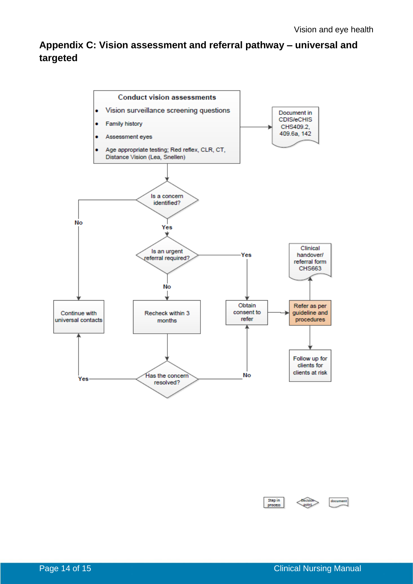# <span id="page-13-0"></span>**Appendix C: Vision assessment and referral pathway – universal and targeted**